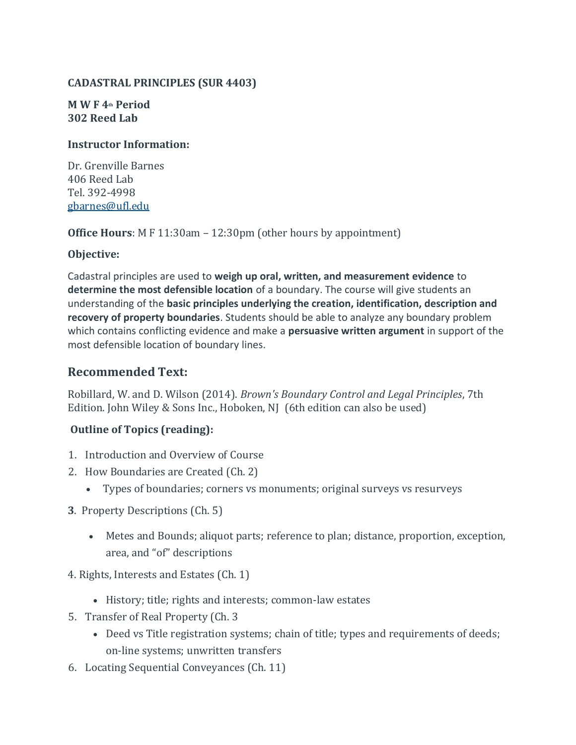#### **CADASTRAL PRINCIPLES (SUR 4403)**

#### **M W F 4th Period 302 Reed Lab**

#### **Instructor Information:**

Dr. Grenville Barnes 406 Reed Lab Tel. 392-4998 [gbarnes@ufl.edu](mailto:gbarnes@ufl.edu)

**Office Hours**: M F 11:30am – 12:30pm (other hours by appointment)

#### **Objective:**

Cadastral principles are used to **weigh up oral, written, and measurement evidence** to **determine the most defensible location** of a boundary. The course will give students an understanding of the **basic principles underlying the creation, identification, description and recovery of property boundaries**. Students should be able to analyze any boundary problem which contains conflicting evidence and make a **persuasive written argument** in support of the most defensible location of boundary lines.

## **Recommended Text:**

Robillard, W. and D. Wilson (2014). *Brown's Boundary Control and Legal Principles*, 7th Edition. John Wiley & Sons Inc., Hoboken, NJ (6th edition can also be used)

## **Outline of Topics (reading):**

- 1. Introduction and Overview of Course
- 2. How Boundaries are Created (Ch. 2)
	- Types of boundaries; corners vs monuments; original surveys vs resurveys
- **3**. Property Descriptions (Ch. 5)
	- Metes and Bounds; aliquot parts; reference to plan; distance, proportion, exception, area, and "of" descriptions
- 4. Rights, Interests and Estates (Ch. 1)
	- History; title; rights and interests; common-law estates
- 5. Transfer of Real Property (Ch. 3
	- Deed vs Title registration systems; chain of title; types and requirements of deeds; on-line systems; unwritten transfers
- 6. Locating Sequential Conveyances (Ch. 11)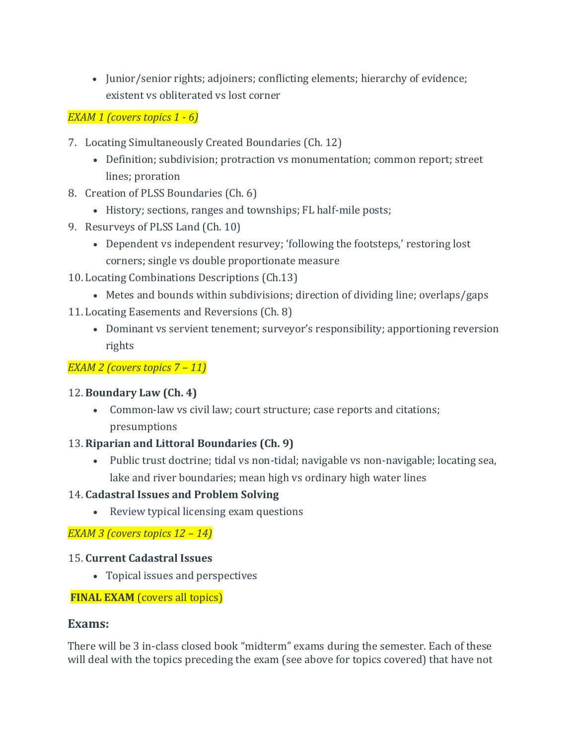• Junior/senior rights; adjoiners; conflicting elements; hierarchy of evidence; existent vs obliterated vs lost corner

*EXAM 1 (covers topics 1 - 6)*

- 7. Locating Simultaneously Created Boundaries (Ch. 12)
	- Definition; subdivision; protraction vs monumentation; common report; street lines; proration
- 8. Creation of PLSS Boundaries (Ch. 6)
	- History; sections, ranges and townships; FL half-mile posts;
- 9. Resurveys of PLSS Land (Ch. 10)
	- Dependent vs independent resurvey; 'following the footsteps,' restoring lost corners; single vs double proportionate measure
- 10. Locating Combinations Descriptions (Ch.13)
	- Metes and bounds within subdivisions; direction of dividing line; overlaps/gaps
- 11. Locating Easements and Reversions (Ch. 8)
	- Dominant vs servient tenement; surveyor's responsibility; apportioning reversion rights

## *EXAM 2 (covers topics 7 – 11)*

## 12. **Boundary Law (Ch. 4)**

• Common-law vs civil law; court structure; case reports and citations; presumptions

## 13. **Riparian and Littoral Boundaries (Ch. 9)**

• Public trust doctrine; tidal vs non-tidal; navigable vs non-navigable; locating sea, lake and river boundaries; mean high vs ordinary high water lines

## 14. **Cadastral Issues and Problem Solving**

• Review typical licensing exam questions

*EXAM 3 (covers topics 12 – 14)*

## 15. **Current Cadastral Issues**

• Topical issues and perspectives

## **FINAL EXAM** (covers all topics)

## **Exams:**

There will be 3 in-class closed book "midterm" exams during the semester. Each of these will deal with the topics preceding the exam (see above for topics covered) that have not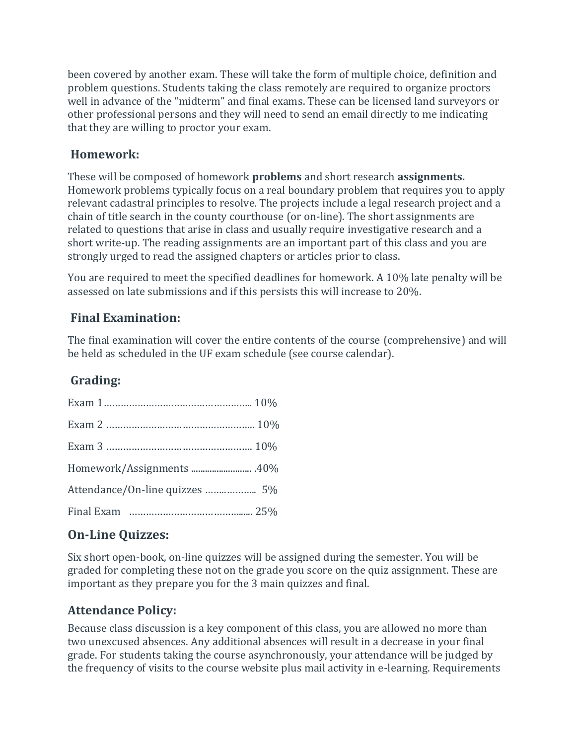been covered by another exam. These will take the form of multiple choice, definition and problem questions. Students taking the class remotely are required to organize proctors well in advance of the "midterm" and final exams. These can be licensed land surveyors or other professional persons and they will need to send an email directly to me indicating that they are willing to proctor your exam.

# **Homework:**

These will be composed of homework **problems** and short research **assignments.**  Homework problems typically focus on a real boundary problem that requires you to apply relevant cadastral principles to resolve. The projects include a legal research project and a chain of title search in the county courthouse (or on-line). The short assignments are related to questions that arise in class and usually require investigative research and a short write-up. The reading assignments are an important part of this class and you are strongly urged to read the assigned chapters or articles prior to class.

You are required to meet the specified deadlines for homework. A 10% late penalty will be assessed on late submissions and if this persists this will increase to 20%.

## **Final Examination:**

The final examination will cover the entire contents of the course (comprehensive) and will be held as scheduled in the UF exam schedule (see course calendar).

# **Grading:**

| Attendance/On-line quizzes  5% |  |
|--------------------------------|--|
|                                |  |

# **On-Line Quizzes:**

Six short open-book, on-line quizzes will be assigned during the semester. You will be graded for completing these not on the grade you score on the quiz assignment. These are important as they prepare you for the 3 main quizzes and final.

# **Attendance Policy:**

Because class discussion is a key component of this class, you are allowed no more than two unexcused absences. Any additional absences will result in a decrease in your final grade. For students taking the course asynchronously, your attendance will be judged by the frequency of visits to the course website plus mail activity in e-learning. Requirements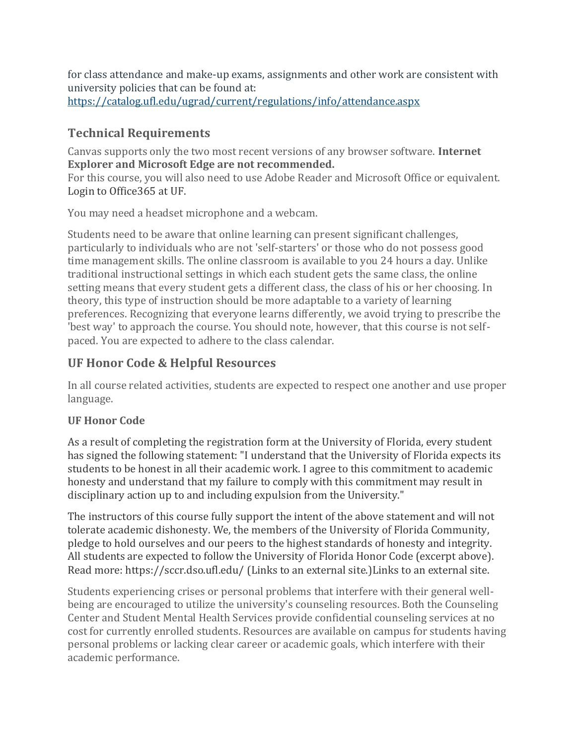for class attendance and make-up exams, assignments and other work are consistent with university policies that can be found at: https://catalog.ufl.edu/ugrad/current/regulations/info/attendance.aspx

# **Technical Requirements**

Canvas supports only the two most recent versions of any browser software. **Internet Explorer and Microsoft Edge are not recommended.**

For this course, you will also need to use Adobe Reader and Microsoft Office or equivalent. [Login to Office365 at UF.](https://login.live.com/login.srf?wa=wsignin1.0&rpsnv=13&ct=1518132207&rver=6.7.6643.0&wp=MBI_SSL&wreply=https%3a%2f%2fproducts.office.com%2fen-US%2f%3fms.url%3doffice365com&lc=1033&id=290950&aadredir=1)

You may need a headset microphone and a webcam.

Students need to be aware that online learning can present significant challenges, particularly to individuals who are not 'self-starters' or those who do not possess good time management skills. The online classroom is available to you 24 hours a day. Unlike traditional instructional settings in which each student gets the same class, the online setting means that every student gets a different class, the class of his or her choosing. In theory, this type of instruction should be more adaptable to a variety of learning preferences. Recognizing that everyone learns differently, we avoid trying to prescribe the 'best way' to approach the course. You should note, however, that this course is not selfpaced. You are expected to adhere to the class calendar.

# **UF Honor Code & Helpful Resources**

In all course related activities, students are expected to respect one another and use proper language.

## **UF Honor Code**

As a result of completing the registration form at the University of Florida, every student has signed the following statement: "I understand that the University of Florida expects its students to be honest in all their academic work. I agree to this commitment to academic honesty and understand that my failure to comply with this commitment may result in disciplinary action up to and including expulsion from the University."

The instructors of this course fully support the intent of the above statement and will not tolerate academic dishonesty. We, the members of the University of Florida Community, pledge to hold ourselves and our peers to the highest standards of honesty and integrity. All students are expected to follow the University of Florida Honor Code (excerpt above). Read more: <https://sccr.dso.ufl.edu/> (Links to an external site.)Links to an external site.

Students experiencing crises or personal problems that interfere with their general wellbeing are encouraged to utilize the university's counseling resources. Both the Counseling Center and Student Mental Health Services provide confidential counseling services at no cost for currently enrolled students. Resources are available on campus for students having personal problems or lacking clear career or academic goals, which interfere with their academic performance.